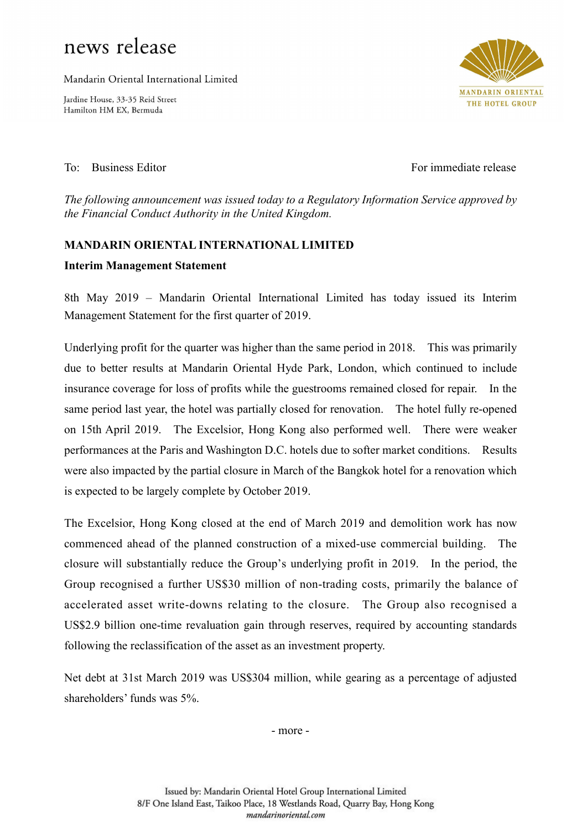## news release

Mandarin Oriental International Limited

Jardine House, 33-35 Reid Street Hamilton HM EX, Bermuda



To: Business Editor For immediate release

The following announcement was issued today to a Regulatory Information Service approved by the Financial Conduct Authority in the United Kingdom.

## MANDARIN ORIENTAL INTERNATIONAL LIMITED

## Interim Management Statement

8th May 2019 – Mandarin Oriental International Limited has today issued its Interim Management Statement for the first quarter of 2019.

Underlying profit for the quarter was higher than the same period in 2018. This was primarily due to better results at Mandarin Oriental Hyde Park, London, which continued to include insurance coverage for loss of profits while the guestrooms remained closed for repair. In the same period last year, the hotel was partially closed for renovation. The hotel fully re-opened on 15th April 2019. The Excelsior, Hong Kong also performed well. There were weaker performances at the Paris and Washington D.C. hotels due to softer market conditions. Results were also impacted by the partial closure in March of the Bangkok hotel for a renovation which is expected to be largely complete by October 2019.

The Excelsior, Hong Kong closed at the end of March 2019 and demolition work has now commenced ahead of the planned construction of a mixed-use commercial building. The closure will substantially reduce the Group's underlying profit in 2019. In the period, the Group recognised a further US\$30 million of non-trading costs, primarily the balance of accelerated asset write-downs relating to the closure. The Group also recognised a US\$2.9 billion one-time revaluation gain through reserves, required by accounting standards following the reclassification of the asset as an investment property.

Net debt at 31st March 2019 was US\$304 million, while gearing as a percentage of adjusted shareholders' funds was 5%.

- more -